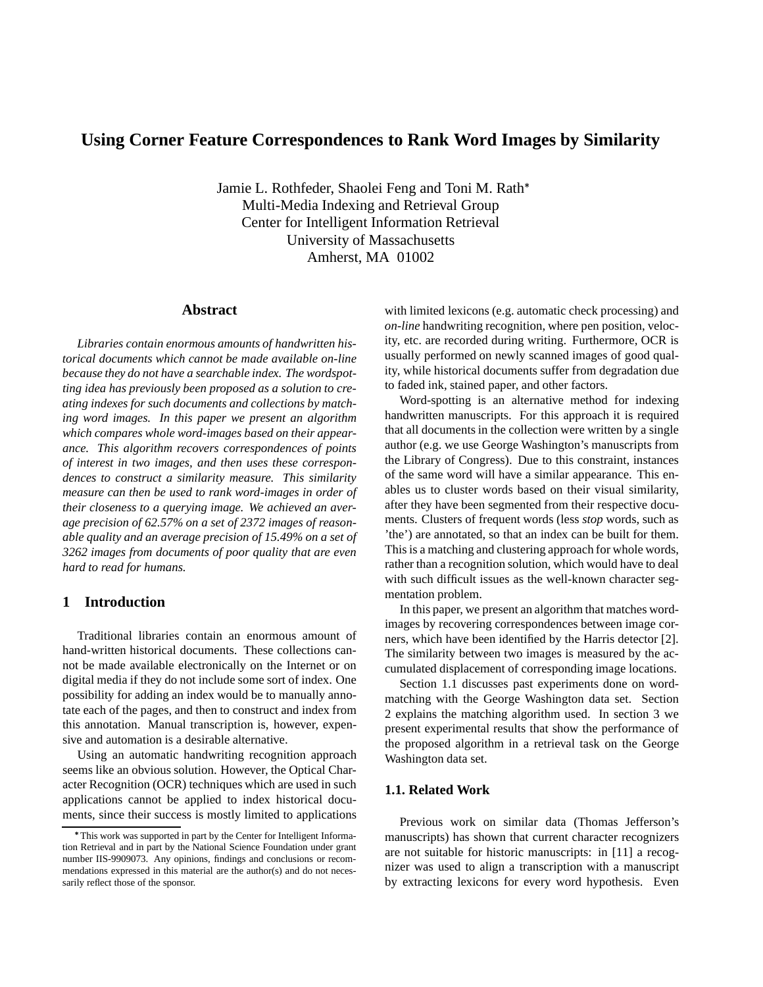# **Using Corner Feature Correspondences to Rank Word Images by Similarity**

Jamie L. Rothfeder, Shaolei Feng and Toni M. Rath Multi-Media Indexing and Retrieval Group Center for Intelligent Information Retrieval University of Massachusetts Amherst, MA 01002

#### **Abstract**

*Libraries contain enormous amounts of handwritten historical documents which cannot be made available on-line because they do not have a searchable index. The wordspotting idea has previously been proposed as a solution to creating indexes for such documents and collections by matching word images. In this paper we present an algorithm which compares whole word-images based on their appearance. This algorithm recovers correspondences of points of interest in two images, and then uses these correspondences to construct a similarity measure. This similarity measure can then be used to rank word-images in order of their closeness to a querying image. We achieved an average precision of 62.57% on a set of 2372 images of reasonable quality and an average precision of 15.49% on a set of 3262 images from documents of poor quality that are even hard to read for humans.*

### **1 Introduction**

Traditional libraries contain an enormous amount of hand-written historical documents. These collections cannot be made available electronically on the Internet or on digital media if they do not include some sort of index. One possibility for adding an index would be to manually annotate each of the pages, and then to construct and index from this annotation. Manual transcription is, however, expensive and automation is a desirable alternative.

Using an automatic handwriting recognition approach seems like an obvious solution. However, the Optical Character Recognition (OCR) techniques which are used in such applications cannot be applied to index historical documents, since their success is mostly limited to applications with limited lexicons (e.g. automatic check processing) and *on-line* handwriting recognition, where pen position, velocity, etc. are recorded during writing. Furthermore, OCR is usually performed on newly scanned images of good quality, while historical documents suffer from degradation due to faded ink, stained paper, and other factors.

Word-spotting is an alternative method for indexing handwritten manuscripts. For this approach it is required that all documents in the collection were written by a single author (e.g. we use George Washington's manuscripts from the Library of Congress). Due to this constraint, instances of the same word will have a similar appearance. This enables us to cluster words based on their visual similarity, after they have been segmented from their respective documents. Clusters of frequent words (less *stop* words, such as 'the') are annotated, so that an index can be built for them. This is a matching and clustering approach for whole words, rather than a recognition solution, which would have to deal with such difficult issues as the well-known character segmentation problem.

In this paper, we present an algorithm that matches wordimages by recovering correspondences between image corners, which have been identified by the Harris detector [2]. The similarity between two images is measured by the accumulated displacement of corresponding image locations.

Section 1.1 discusses past experiments done on wordmatching with the George Washington data set. Section 2 explains the matching algorithm used. In section 3 we present experimental results that show the performance of the proposed algorithm in a retrieval task on the George Washington data set.

## **1.1. Related Work**

Previous work on similar data (Thomas Jefferson's manuscripts) has shown that current character recognizers are not suitable for historic manuscripts: in [11] a recognizer was used to align a transcription with a manuscript by extracting lexicons for every word hypothesis. Even

This work was supported in part by the Center for Intelligent Information Retrieval and in part by the National Science Foundation under grant number IIS-9909073. Any opinions, findings and conclusions or recommendations expressed in this material are the author(s) and do not necessarily reflect those of the sponsor.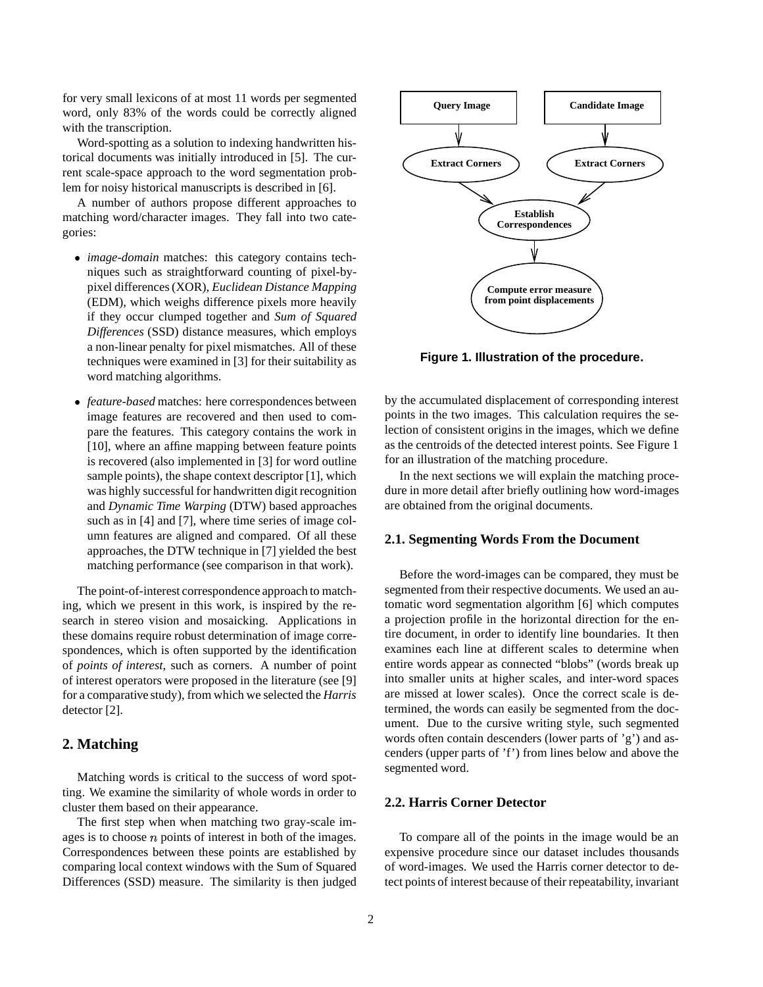for very small lexicons of at most 11 words per segmented word, only 83% of the words could be correctly aligned with the transcription.

Word-spotting as a solution to indexing handwritten historical documents was initially introduced in [5]. The current scale-space approach to the word segmentation problem for noisy historical manuscripts is described in [6].

A number of authors propose different approaches to matching word/character images. They fall into two categories:

- *image-domain* matches: this category contains techniques such as straightforward counting of pixel-bypixel differences(XOR), *Euclidean Distance Mapping* (EDM), which weighs difference pixels more heavily if they occur clumped together and *Sum of Squared Differences* (SSD) distance measures, which employs a non-linear penalty for pixel mismatches. All of these techniques were examined in [3] for their suitability as word matching algorithms.
- *feature-based* matches: here correspondences between image features are recovered and then used to compare the features. This category contains the work in [10], where an affine mapping between feature points is recovered (also implemented in [3] for word outline sample points), the shape context descriptor [1], which was highly successful for handwritten digit recognition and *Dynamic Time Warping* (DTW) based approaches such as in [4] and [7], where time series of image column features are aligned and compared. Of all these approaches, the DTW technique in [7] yielded the best matching performance (see comparison in that work).

The point-of-interest correspondence approach to matching, which we present in this work, is inspired by the research in stereo vision and mosaicking. Applications in these domains require robust determination of image correspondences, which is often supported by the identification of *points of interest*, such as corners. A number of point of interest operators were proposed in the literature (see [9] for a comparative study), from which we selected the *Harris* detector [2].

# **2. Matching**

Matching words is critical to the success of word spotting. We examine the similarity of whole words in order to cluster them based on their appearance.

The first step when when matching two gray-scale images is to choose  $n$  points of interest in both of the images. Correspondences between these points are established by comparing local context windows with the Sum of Squared Differences (SSD) measure. The similarity is then judged



**Figure 1. Illustration of the procedure.**

by the accumulated displacement of corresponding interest points in the two images. This calculation requires the selection of consistent origins in the images, which we define as the centroids of the detected interest points. See Figure 1 for an illustration of the matching procedure.

In the next sections we will explain the matching procedure in more detail after briefly outlining how word-images are obtained from the original documents.

### **2.1. Segmenting Words From the Document**

Before the word-images can be compared, they must be segmented from their respective documents. We used an automatic word segmentation algorithm [6] which computes a projection profile in the horizontal direction for the entire document, in order to identify line boundaries. It then examines each line at different scales to determine when entire words appear as connected "blobs" (words break up into smaller units at higher scales, and inter-word spaces are missed at lower scales). Once the correct scale is determined, the words can easily be segmented from the document. Due to the cursive writing style, such segmented words often contain descenders (lower parts of 'g') and ascenders (upper parts of 'f') from lines below and above the segmented word.

### **2.2. Harris Corner Detector**

To compare all of the points in the image would be an expensive procedure since our dataset includes thousands of word-images. We used the Harris corner detector to detect points of interest because of their repeatability, invariant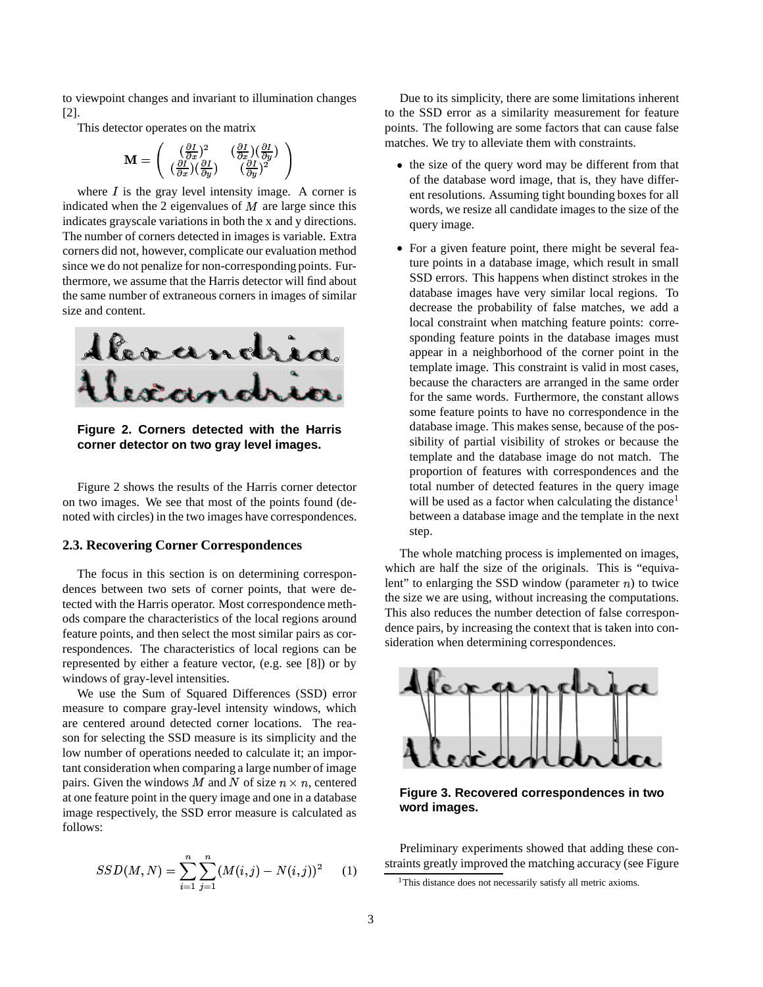to viewpoint changes and invariant to illumination changes [2].

This detector operates on the matrix

$$
\mathbf{M} = \left(\begin{array}{cc} (\frac{\partial I}{\partial x})^2 & (\frac{\partial I}{\partial x})(\frac{\partial I}{\partial y}) \\ (\frac{\partial I}{\partial x})(\frac{\partial I}{\partial y}) & (\frac{\partial I}{\partial y})^2 \end{array}\right)
$$

where  $I$  is the gray level intensity image. A corner is indicated when the 2 eigenvalues of  $M$  are large since this indicates grayscale variations in both the x and y directions. The number of corners detected in images is variable. Extra corners did not, however, complicate our evaluation method since we do not penalize for non-corresponding points. Furthermore, we assume that the Harris detector will find about the same number of extraneous corners in images of similar size and content.



**Figure 2. Corners detected with the Harris corner detector on two gray level images.**

Figure 2 shows the results of the Harris corner detector on two images. We see that most of the points found (denoted with circles) in the two images have correspondences.

#### **2.3. Recovering Corner Correspondences**

The focus in this section is on determining correspondences between two sets of corner points, that were detected with the Harris operator. Most correspondence methods compare the characteristics of the local regions around feature points, and then select the most similar pairs as correspondences. The characteristics of local regions can be represented by either a feature vector, (e.g. see [8]) or by windows of gray-level intensities.

We use the Sum of Squared Differences (SSD) error measure to compare gray-level intensity windows, which are centered around detected corner locations. The reason for selecting the SSD measure is its simplicity and the low number of operations needed to calculate it; an important consideration when comparing a large number of image pairs. Given the windows M and N of size  $n \times n$ , centered at one feature point in the query image and one in a database image respectively, the SSD error measure is calculated as follows:

$$
SSD(M, N) = \sum_{i=1}^{n} \sum_{j=1}^{n} (M(i, j) - N(i, j))^{2}
$$
 (1)

Due to its simplicity, there are some limitations inherent to the SSD error as a similarity measurement for feature points. The following are some factors that can cause false matches. We try to alleviate them with constraints.

- the size of the query word may be different from that of the database word image, that is, they have different resolutions. Assuming tight bounding boxes for all words, we resize all candidate images to the size of the query image.
- For a given feature point, there might be several feature points in a database image, which result in small SSD errors. This happens when distinct strokes in the database images have very similar local regions. To decrease the probability of false matches, we add a local constraint when matching feature points: corresponding feature points in the database images must appear in a neighborhood of the corner point in the template image. This constraint is valid in most cases, because the characters are arranged in the same order for the same words. Furthermore, the constant allows some feature points to have no correspondence in the database image. This makes sense, because of the possibility of partial visibility of strokes or because the template and the database image do not match. The proportion of features with correspondences and the total number of detected features in the query image will be used as a factor when calculating the distance<sup>1</sup> between a database image and the template in the next step.

The whole matching process is implemented on images, which are half the size of the originals. This is "equivalent" to enlarging the SSD window (parameter  $n$ ) to twice the size we are using, without increasing the computations. This also reduces the number detection of false correspondence pairs, by increasing the context that is taken into consideration when determining correspondences.



**Figure 3. Recovered correspondences in two word images.**

Preliminary experiments showed that adding these constraints greatly improved the matching accuracy (see Figure

<sup>&</sup>lt;sup>1</sup>This distance does not necessarily satisfy all metric axioms.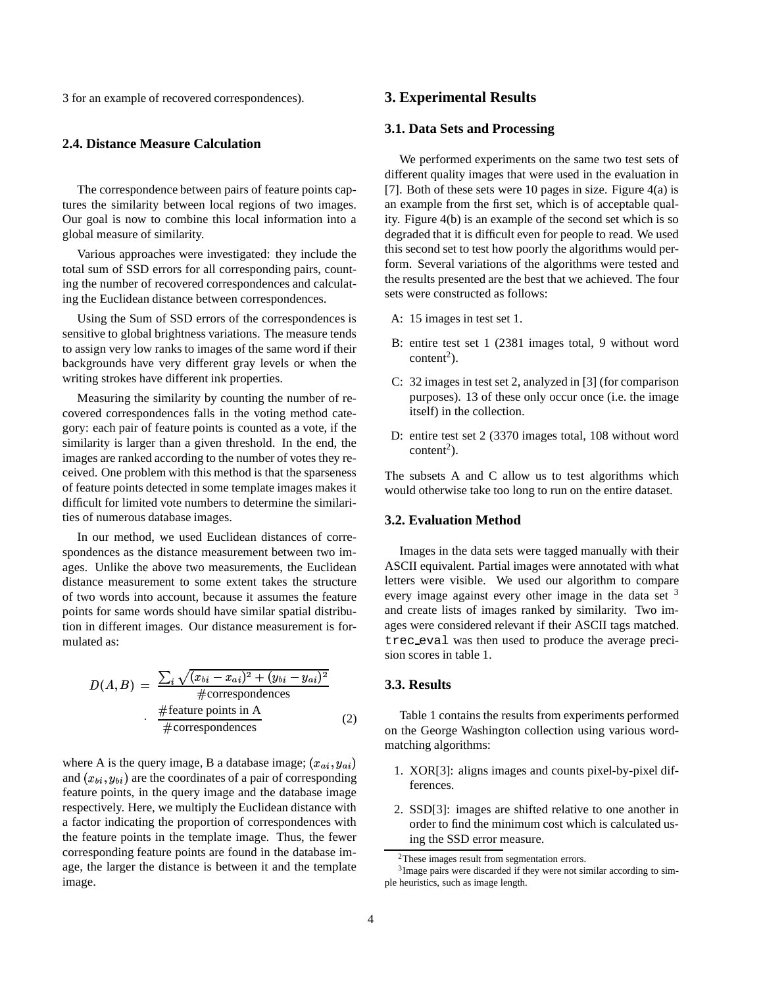3 for an example of recovered correspondences).

# **2.4. Distance Measure Calculation**

The correspondence between pairs of feature points captures the similarity between local regions of two images. Our goal is now to combine this local information into a global measure of similarity.

Various approaches were investigated: they include the total sum of SSD errors for all corresponding pairs, counting the number of recovered correspondences and calculating the Euclidean distance between correspondences.

Using the Sum of SSD errors of the correspondences is sensitive to global brightness variations. The measure tends to assign very low ranks to images of the same word if their backgrounds have very different gray levels or when the writing strokes have different ink properties.

Measuring the similarity by counting the number of recovered correspondences falls in the voting method category: each pair of feature points is counted as a vote, if the similarity is larger than a given threshold. In the end, the images are ranked according to the number of votes they received. One problem with this method is that the sparseness of feature points detected in some template images makes it difficult for limited vote numbers to determine the similarities of numerous database images.

In our method, we used Euclidean distances of correspondences as the distance measurement between two images. Unlike the above two measurements, the Euclidean distance measurement to some extent takes the structure of two words into account, because it assumes the feature points for same words should have similar spatial distribution in different images. Our distance measurement is formulated as:

$$
D(A, B) = \frac{\sum_{i} \sqrt{(x_{bi} - x_{ai})^2 + (y_{bi} - y_{ai})^2}}{\text{\#correspondences}}
$$
  
\n#features in A  
\n#correspondences (2)

where A is the query image, B a database image;  $(x_{ai}, y_{ai})$ <br>and  $(x_{bi}, y_{bi})$  are the coordinates of a pair of corresponding where A is the query image, B a database image;  $(x_{ai}, y_{ai})$ <br>and  $(x_{bi}, y_{bi})$  are the coordinates of a pair of corresponding feature points, in the query image and the database image respectively. Here, we multiply the Euclidean distance with a factor indicating the proportion of correspondences with the feature points in the template image. Thus, the fewer corresponding feature points are found in the database image, the larger the distance is between it and the template image.

# **3. Experimental Results**

## **3.1. Data Sets and Processing**

We performed experiments on the same two test sets of different quality images that were used in the evaluation in [7]. Both of these sets were 10 pages in size. Figure 4(a) is an example from the first set, which is of acceptable quality. Figure 4(b) is an example of the second set which is so degraded that it is difficult even for people to read. We used this second set to test how poorly the algorithms would perform. Several variations of the algorithms were tested and the results presented are the best that we achieved. The four sets were constructed as follows:

- A: 15 images in test set 1.
- B: entire test set 1 (2381 images total, 9 without word  $content<sup>2</sup>$ ).
- C: 32 images in test set 2, analyzed in [3] (for comparison purposes). 13 of these only occur once (i.e. the image itself) in the collection.
- D: entire test set 2 (3370 images total, 108 without word  $content<sup>2</sup>$ ).

The subsets A and C allow us to test algorithms which would otherwise take too long to run on the entire dataset.

#### **3.2. Evaluation Method**

Images in the data sets were tagged manually with their ASCII equivalent. Partial images were annotated with what letters were visible. We used our algorithm to compare every image against every other image in the data set  $3$ and create lists of images ranked by similarity. Two images were considered relevant if their ASCII tags matched. trec eval was then used to produce the average precision scores in table 1.

# **3.3. Results**

Table 1 contains the results from experiments performed on the George Washington collection using various wordmatching algorithms:

- 1. XOR[3]: aligns images and counts pixel-by-pixel differences.
- 2. SSD[3]: images are shifted relative to one another in order to find the minimum cost which is calculated using the SSD error measure.

<sup>2</sup>These images result from segmentation errors.

<sup>&</sup>lt;sup>3</sup> Image pairs were discarded if they were not similar according to simple heuristics, such as image length.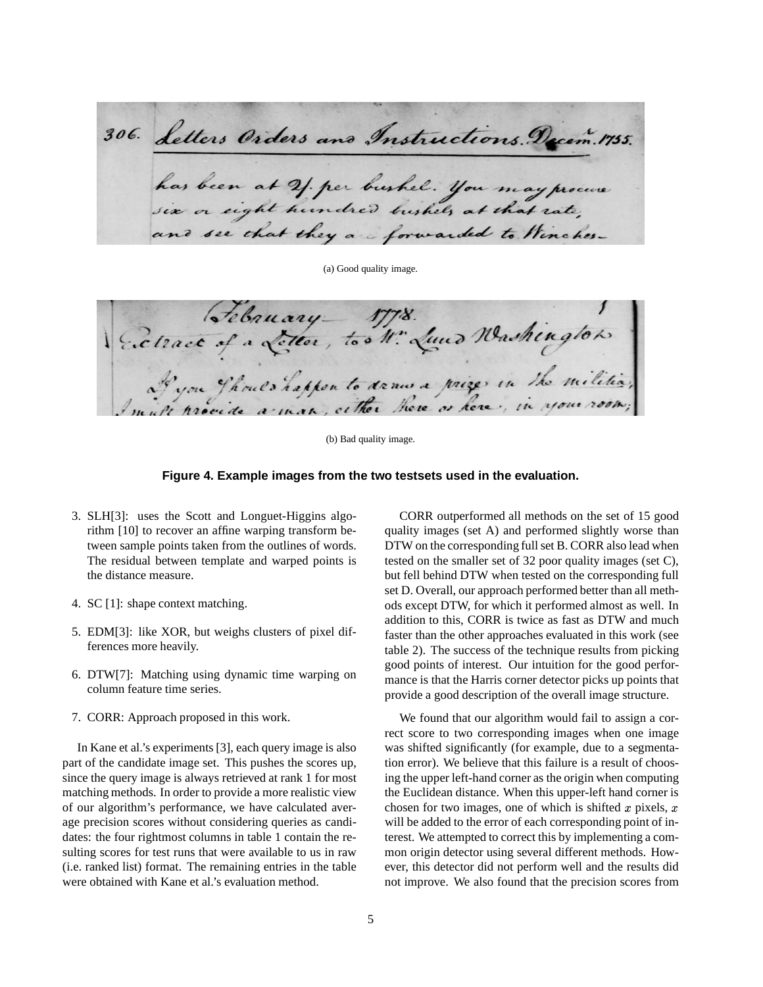306. Letters Orders and Instructions. Decem. 1755. has been at 21 per bushel. you may procure and see that they are forwarded to Winches-

(a) Good quality image.

Sebruary 1778.<br>Cetrace of a Letter, too N. Lund Washington.

(b) Bad quality image.

#### **Figure 4. Example images from the two testsets used in the evaluation.**

- 3. SLH[3]: uses the Scott and Longuet-Higgins algorithm [10] to recover an affine warping transform between sample points taken from the outlines of words. The residual between template and warped points is the distance measure.
- 4. SC [1]: shape context matching.
- 5. EDM[3]: like XOR, but weighs clusters of pixel differences more heavily.
- 6. DTW[7]: Matching using dynamic time warping on column feature time series.
- 7. CORR: Approach proposed in this work.

In Kane et al.'s experiments [3], each query image is also part of the candidate image set. This pushes the scores up, since the query image is always retrieved at rank 1 for most matching methods. In order to provide a more realistic view of our algorithm's performance, we have calculated average precision scores without considering queries as candidates: the four rightmost columns in table 1 contain the resulting scores for test runs that were available to us in raw (i.e. ranked list) format. The remaining entries in the table were obtained with Kane et al.'s evaluation method.

CORR outperformed all methods on the set of 15 good quality images (set A) and performed slightly worse than DTW on the corresponding full set B. CORR also lead when tested on the smaller set of 32 poor quality images (set C), but fell behind DTW when tested on the corresponding full set D. Overall, our approach performed better than all methods except DTW, for which it performed almost as well. In addition to this, CORR is twice as fast as DTW and much faster than the other approaches evaluated in this work (see table 2). The success of the technique results from picking good points of interest. Our intuition for the good performance is that the Harris corner detector picks up points that provide a good description of the overall image structure.

We found that our algorithm would fail to assign a correct score to two corresponding images when one image was shifted significantly (for example, due to a segmentation error). We believe that this failure is a result of choosing the upper left-hand corner as the origin when computing the Euclidean distance. When this upper-left hand corner is chosen for two images, one of which is shifted x pixels, x will be added to the error of each corresponding point of interest. We attempted to correct this by implementing a common origin detector using several different methods. However, this detector did not perform well and the results did not improve. We also found that the precision scores from